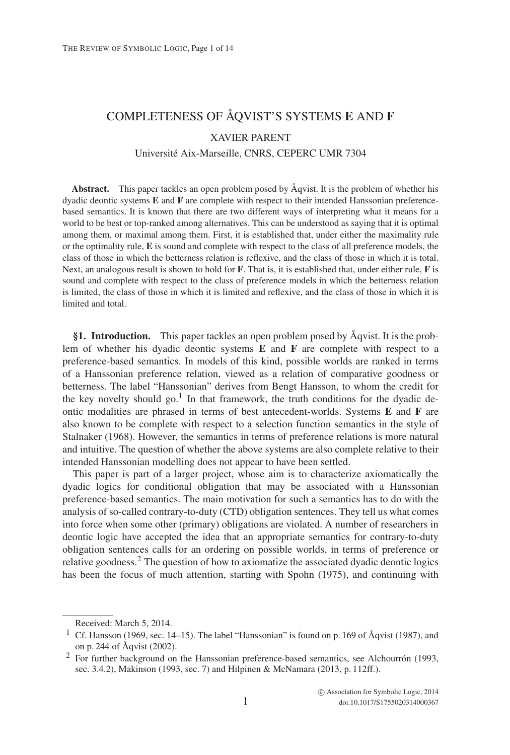# COMPLETENESS OF ÅQVIST'S SYSTEMS **E** AND **F**

## XAVIER PARENT

#### Université Aix-Marseille, CNRS, CEPERC UMR 7304

**Abstract.** This paper tackles an open problem posed by Åqvist. It is the problem of whether his dyadic deontic systems **E** and **F** are complete with respect to their intended Hanssonian preferencebased semantics. It is known that there are two different ways of interpreting what it means for a world to be best or top-ranked among alternatives. This can be understood as saying that it is optimal among them, or maximal among them. First, it is established that, under either the maximality rule or the optimality rule, **E** is sound and complete with respect to the class of all preference models, the class of those in which the betterness relation is reflexive, and the class of those in which it is total. Next, an analogous result is shown to hold for **F**. That is, it is established that, under either rule, **F** is sound and complete with respect to the class of preference models in which the betterness relation is limited, the class of those in which it is limited and reflexive, and the class of those in which it is limited and total.

**§1. Introduction.** This paper tackles an open problem posed by Åqvist. It is the problem of whether his dyadic deontic systems **E** and **F** are complete with respect to a preference-based semantics. In models of this kind, possible worlds are ranked in terms of a Hanssonian preference relation, viewed as a relation of comparative goodness or betterness. The label "Hanssonian" derives from Bengt Hansson, to whom the credit for the key novelty should go.<sup>1</sup> In that framework, the truth conditions for the dyadic deontic modalities are phrased in terms of best antecedent-worlds. Systems **E** and **F** are also known to be complete with respect to a selection function semantics in the style of Stalnaker (1968). However, the semantics in terms of preference relations is more natural and intuitive. The question of whether the above systems are also complete relative to their intended Hanssonian modelling does not appear to have been settled.

This paper is part of a larger project, whose aim is to characterize axiomatically the dyadic logics for conditional obligation that may be associated with a Hanssonian preference-based semantics. The main motivation for such a semantics has to do with the analysis of so-called contrary-to-duty (CTD) obligation sentences. They tell us what comes into force when some other (primary) obligations are violated. A number of researchers in deontic logic have accepted the idea that an appropriate semantics for contrary-to-duty obligation sentences calls for an ordering on possible worlds, in terms of preference or relative goodness.2 The question of how to axiomatize the associated dyadic deontic logics has been the focus of much attention, starting with Spohn (1975), and continuing with

Received: March 5, 2014.

<sup>1</sup> Cf. Hansson (1969, sec. 14–15). The label "Hanssonian" is found on p. 169 of Åqvist (1987), and on p. 244 of Åqvist (2002).

<sup>2</sup> For further background on the Hanssonian preference-based semantics, see Alchourrón (1993, sec. 3.4.2), Makinson (1993, sec. 7) and Hilpinen & McNamara (2013, p. 112ff.).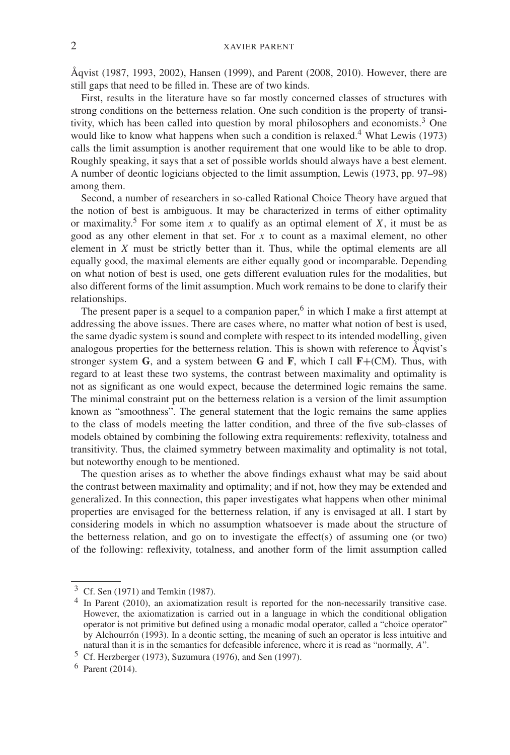Åqvist (1987, 1993, 2002), Hansen (1999), and Parent (2008, 2010). However, there are still gaps that need to be filled in. These are of two kinds.

First, results in the literature have so far mostly concerned classes of structures with strong conditions on the betterness relation. One such condition is the property of transitivity, which has been called into question by moral philosophers and economists.<sup>3</sup> One would like to know what happens when such a condition is relaxed.<sup>4</sup> What Lewis (1973) calls the limit assumption is another requirement that one would like to be able to drop. Roughly speaking, it says that a set of possible worlds should always have a best element. A number of deontic logicians objected to the limit assumption, Lewis (1973, pp. 97–98) among them.

Second, a number of researchers in so-called Rational Choice Theory have argued that the notion of best is ambiguous. It may be characterized in terms of either optimality or maximality.<sup>5</sup> For some item x to qualify as an optimal element of X, it must be as good as any other element in that set. For *x* to count as a maximal element, no other element in *X* must be strictly better than it. Thus, while the optimal elements are all equally good, the maximal elements are either equally good or incomparable. Depending on what notion of best is used, one gets different evaluation rules for the modalities, but also different forms of the limit assumption. Much work remains to be done to clarify their relationships.

The present paper is a sequel to a companion paper,<sup>6</sup> in which I make a first attempt at addressing the above issues. There are cases where, no matter what notion of best is used, the same dyadic system is sound and complete with respect to its intended modelling, given analogous properties for the betterness relation. This is shown with reference to Åqvist's stronger system **G**, and a system between **G** and **F**, which I call **F**+(CM). Thus, with regard to at least these two systems, the contrast between maximality and optimality is not as significant as one would expect, because the determined logic remains the same. The minimal constraint put on the betterness relation is a version of the limit assumption known as "smoothness". The general statement that the logic remains the same applies to the class of models meeting the latter condition, and three of the five sub-classes of models obtained by combining the following extra requirements: reflexivity, totalness and transitivity. Thus, the claimed symmetry between maximality and optimality is not total, but noteworthy enough to be mentioned.

The question arises as to whether the above findings exhaust what may be said about the contrast between maximality and optimality; and if not, how they may be extended and generalized. In this connection, this paper investigates what happens when other minimal properties are envisaged for the betterness relation, if any is envisaged at all. I start by considering models in which no assumption whatsoever is made about the structure of the betterness relation, and go on to investigate the effect(s) of assuming one (or two) of the following: reflexivity, totalness, and another form of the limit assumption called

<sup>3</sup> Cf. Sen (1971) and Temkin (1987).

<sup>&</sup>lt;sup>4</sup> In Parent (2010), an axiomatization result is reported for the non-necessarily transitive case. However, the axiomatization is carried out in a language in which the conditional obligation operator is not primitive but defined using a monadic modal operator, called a "choice operator" by Alchourrón (1993). In a deontic setting, the meaning of such an operator is less intuitive and natural than it is in the semantics for defeasible inference, where it is read as "normally, *A*".

<sup>5</sup> Cf. Herzberger (1973), Suzumura (1976), and Sen (1997).

<sup>6</sup> Parent (2014).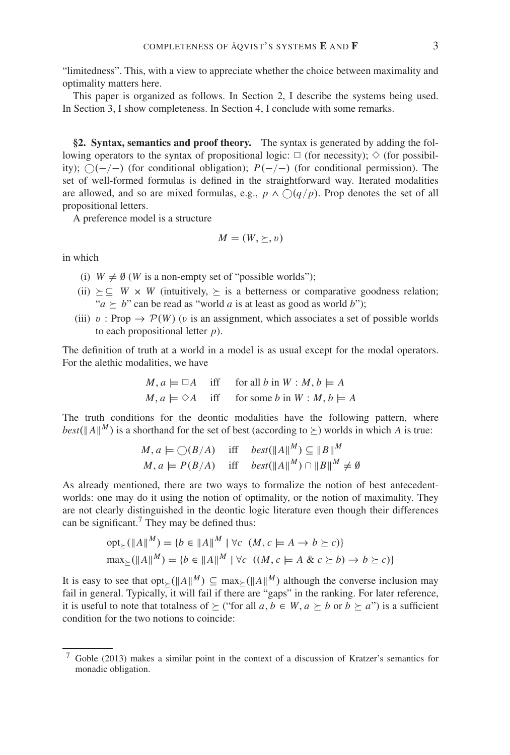"limitedness". This, with a view to appreciate whether the choice between maximality and optimality matters here.

This paper is organized as follows. In Section 2, I describe the systems being used. In Section 3, I show completeness. In Section 4, I conclude with some remarks.

**§2. Syntax, semantics and proof theory.** The syntax is generated by adding the following operators to the syntax of propositional logic:  $\Box$  (for necessity);  $\diamond$  (for possibility);  $\bigcirc$ (-/-) (for conditional obligation); *P*(-/-) (for conditional permission). The set of well-formed formulas is defined in the straightforward way. Iterated modalities are allowed, and so are mixed formulas, e.g.,  $p \wedge \bigcirc (q/p)$ . Prop denotes the set of all propositional letters.

A preference model is a structure

$$
M=(W,\succeq,v)
$$

in which

- (i)  $W \neq \emptyset$  (*W* is a non-empty set of "possible worlds");
- (ii)  $\succeq \subseteq W \times W$  (intuitively,  $\succeq$  is a betterness or comparative goodness relation; " $a \succeq b$ " can be read as "world *a* is at least as good as world *b*");
- (iii)  $v$ : Prop  $\rightarrow$   $\mathcal{P}(W)$  (*v* is an assignment, which associates a set of possible worlds to each propositional letter *p*).

The definition of truth at a world in a model is as usual except for the modal operators. For the alethic modalities, we have

> $M, a \models \Box A$  iff for all *b* in  $W : M, b \models A$  $M, a \models \Diamond A$  iff for some *b* in  $W : M, b \models A$

The truth conditions for the deontic modalities have the following pattern, where *best*( $||A||^M$ ) is a shorthand for the set of best (according to  $\succeq$ ) worlds in which *A* is true:

$$
M, a \models \bigcirc (B/A) \quad \text{iff} \quad best(\|A\|^M) \subseteq \|B\|^M
$$
  

$$
M, a \models P(B/A) \quad \text{iff} \quad best(\|A\|^M) \cap \|B\|^M \neq \emptyset
$$

As already mentioned, there are two ways to formalize the notion of best antecedentworlds: one may do it using the notion of optimality, or the notion of maximality. They are not clearly distinguished in the deontic logic literature even though their differences can be significant.<sup>7</sup> They may be defined thus:

$$
opt_{\succeq}(\|A\|^M) = \{b \in \|A\|^M \mid \forall c \ (M, c \models A \to b \succeq c)\}
$$

$$
\max_{\succeq}(\|A\|^M) = \{b \in \|A\|^M \mid \forall c \ ((M, c \models A \& c \succeq b) \to b \succeq c)\}
$$

It is easy to see that  $\mathrm{opt}_{\succeq}(\|A\|^M) \subseteq \max_{\succeq}(\|A\|^M)$  although the converse inclusion may fail in general. Typically, it will fail if there are "gaps" in the ranking. For later reference, it is useful to note that totalness of  $\succeq$  ("for all  $a, b \in W, a \succeq b$  or  $b \succeq a$ ") is a sufficient condition for the two notions to coincide:

<sup>7</sup> Goble (2013) makes a similar point in the context of a discussion of Kratzer's semantics for monadic obligation.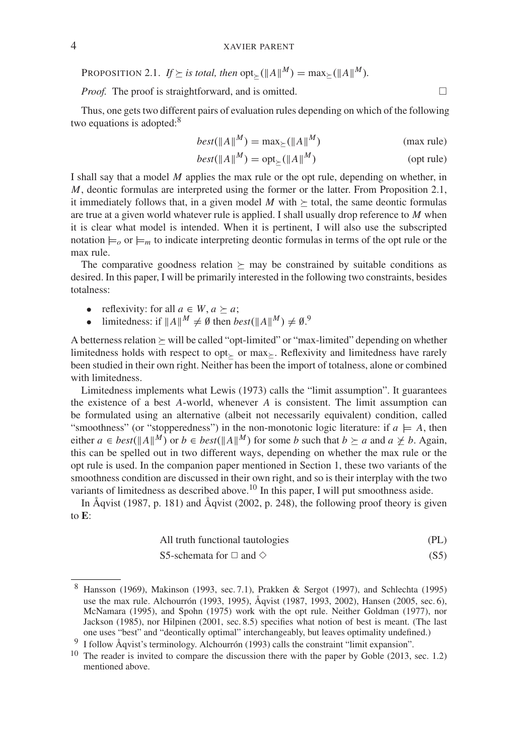PROPOSITION 2.1. *If*  $\succeq$  *is total, then*  $\mathrm{opt}_{\succeq}(\|A\|^M) = \max_{\succeq}(\|A\|^M)$ .

*Proof.* The proof is straightforward, and is omitted.  $\Box$ 

Thus, one gets two different pairs of evaluation rules depending on which of the following two equations is adopted: $8$ 

$$
best(\|A\|^M) = \max_{\geq} (\|A\|^M) \tag{max rule}
$$

$$
best(\|A\|^M) = opt_{\geq}(\|A\|^M)
$$
 (opt rule)

I shall say that a model *M* applies the max rule or the opt rule, depending on whether, in *M*, deontic formulas are interpreted using the former or the latter. From Proposition 2.1, it immediately follows that, in a given model M with  $\succeq$  total, the same deontic formulas are true at a given world whatever rule is applied. I shall usually drop reference to *M* when it is clear what model is intended. When it is pertinent, I will also use the subscripted notation  $\models_o$  or  $\models_m$  to indicate interpreting deontic formulas in terms of the opt rule or the max rule.

The comparative goodness relation  $\succeq$  may be constrained by suitable conditions as desired. In this paper, I will be primarily interested in the following two constraints, besides totalness:

- reflexivity: for all  $a \in W$ ,  $a \succeq a$ ;
- limitedness: if  $||A||^M \neq \emptyset$  then *best*( $||A||^M$ )  $\neq \emptyset$ .<sup>9</sup>

A betterness relation  $\succeq$  will be called "opt-limited" or "max-limited" depending on whether limitedness holds with respect to  $opt_{\succ}$  or max $_{\succeq}$ . Reflexivity and limitedness have rarely been studied in their own right. Neither has been the import of totalness, alone or combined with limitedness.

Limitedness implements what Lewis (1973) calls the "limit assumption". It guarantees the existence of a best *A*-world, whenever *A* is consistent. The limit assumption can be formulated using an alternative (albeit not necessarily equivalent) condition, called "smoothness" (or "stopperedness") in the non-monotonic logic literature: if  $a \models A$ , then either  $a \in best(\|A\|^M)$  or  $b \in best(\|A\|^M)$  for some *b* such that  $b \succeq a$  and  $a \not\succeq b$ . Again, this can be spelled out in two different ways, depending on whether the max rule or the opt rule is used. In the companion paper mentioned in Section 1, these two variants of the smoothness condition are discussed in their own right, and so is their interplay with the two variants of limitedness as described above.<sup>10</sup> In this paper, I will put smoothness aside.

In Åqvist (1987, p. 181) and Åqvist (2002, p. 248), the following proof theory is given to **E**:

| All truth functional tautologies | (PL) |  |
|----------------------------------|------|--|
|----------------------------------|------|--|

$$
S5-schematic for \Box and \Diamond
$$
 (S5)

<sup>8</sup> Hansson (1969), Makinson (1993, sec. 7.1), Prakken & Sergot (1997), and Schlechta (1995) use the max rule. Alchourrón (1993, 1995), Åqvist (1987, 1993, 2002), Hansen (2005, sec. 6), McNamara (1995), and Spohn (1975) work with the opt rule. Neither Goldman (1977), nor Jackson (1985), nor Hilpinen (2001, sec. 8.5) specifies what notion of best is meant. (The last one uses "best" and "deontically optimal" interchangeably, but leaves optimality undefined.)

<sup>9</sup> I follow Åqvist's terminology. Alchourrón (1993) calls the constraint "limit expansion".

 $10$  The reader is invited to compare the discussion there with the paper by Goble (2013, sec. 1.2) mentioned above.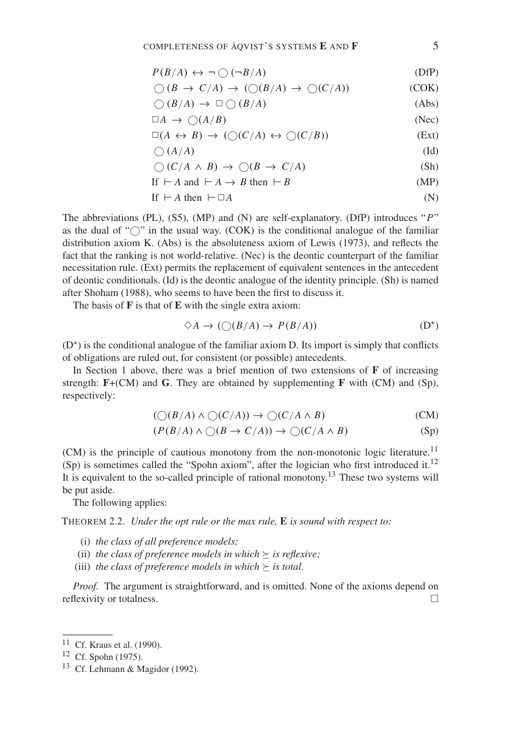$$
P(B/A) \leftrightarrow \neg \bigcirc (\neg B/A) \tag{DfP}
$$

$$
\bigcirc (B \to C/A) \to (\bigcirc (B/A) \to \bigcirc (C/A))
$$
 (COK)

$$
\bigcirc (B/A) \to \Box \bigcirc (B/A) \tag{Abs}
$$

$$
\Box A \rightarrow \bigcirc (A/B) \tag{Nec}
$$

$$
\Box(A \leftrightarrow B) \to (\bigcirc (C/A) \leftrightarrow \bigcirc (C/B))
$$
 (Ext)

$$
\bigcirc (A/A) \tag{Id}
$$

$$
\bigcirc (C/A \wedge B) \to \bigcirc (B \to C/A) \tag{Sh}
$$

If 
$$
\vdash A
$$
 and  $\vdash A \rightarrow B$  then  $\vdash B$  (MP)

If 
$$
\vdash A
$$
 then  $\vdash \Box A$  (N)

The abbreviations (PL), (S5), (MP) and (N) are self-explanatory. (DfP) introduces "*P*" as the dual of " $\bigcirc$ " in the usual way. (COK) is the conditional analogue of the familiar distribution axiom K. (Abs) is the absoluteness axiom of Lewis (1973), and reflects the fact that the ranking is not world-relative. (Nec) is the deontic counterpart of the familiar necessitation rule. (Ext) permits the replacement of equivalent sentences in the antecedent of deontic conditionals. (Id) is the deontic analogue of the identity principle. (Sh) is named after Shoham (1988), who seems to have been the first to discuss it.

The basis of **F** is that of **E** with the single extra axiom:

$$
\Diamond A \to (\bigcirc (B/A) \to P(B/A))
$$
 (D<sup>\*</sup>)

 $(D<sup>*</sup>)$  is the conditional analogue of the familiar axiom D. Its import is simply that conflicts of obligations are ruled out, for consistent (or possible) antecedents.

In Section 1 above, there was a brief mention of two extensions of **F** of increasing strength: **F**+(CM) and **G**. They are obtained by supplementing **F** with (CM) and (Sp), respectively:

$$
(\bigcirc (B/A) \land \bigcirc (C/A)) \to \bigcirc (C/A \land B) \tag{CM}
$$

$$
(P(B/A) \land \bigcirc (B \to C/A)) \to \bigcirc (C/A \land B) \tag{Sp}
$$

 $(CM)$  is the principle of cautious monotony from the non-monotonic logic literature.<sup>11</sup> (Sp) is sometimes called the "Spohn axiom", after the logician who first introduced it.<sup>12</sup> It is equivalent to the so-called principle of rational monotony.<sup>13</sup> These two systems will be put aside.

The following applies:

THEOREM 2.2. *Under the opt rule or the max rule,* **E** *is sound with respect to:*

- (i) *the class of all preference models;*
- (ii) *the class of preference models in which*  $\succeq$  *is reflexive*;
- (iii) *the class of preference models in which*  $\succeq$  *is total.*

*Proof.* The argument is straightforward, and is omitted. None of the axioms depend on reflexivity or totalness.  $\Box$ 

<sup>11</sup> Cf. Kraus et al. (1990).

<sup>12</sup> Cf. Spohn (1975).

<sup>13</sup> Cf. Lehmann & Magidor (1992).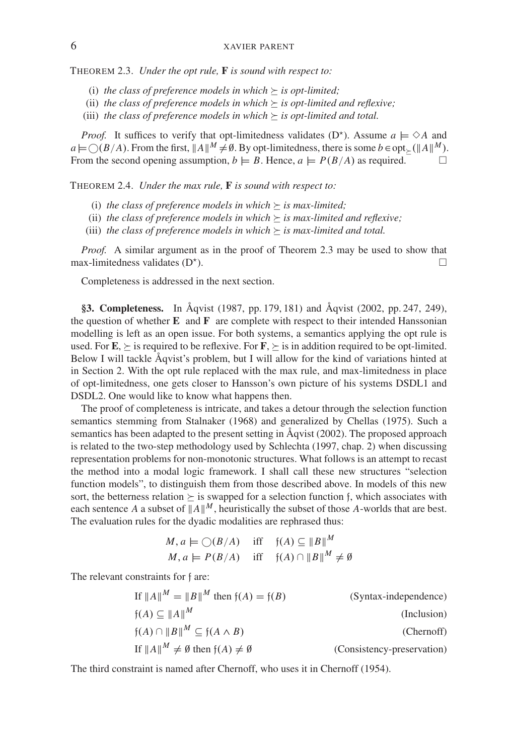THEOREM 2.3. *Under the opt rule,* **F** *is sound with respect to:*

- (i) *the class of preference models in which*  $\succeq$  *is opt-limited*;
- (ii) *the class of preference models in which*  $\succeq$  *is opt-limited and reflexive*;
- (iii) *the class of preference models in which*  $\geq$  *is opt-limited and total.*

*Proof.* It suffices to verify that opt-limitedness validates (D<sup>\*</sup>). Assume  $a \models \Diamond A$  and  $a \models \bigcirc (B/A)$ . From the first,  $||A||^M \neq \emptyset$ . By opt-limitedness, there is some  $b \in \text{opt}_{\succeq} (||A||^M)$ . From the second opening assumption,  $b \models B$ . Hence,  $a \models P(B/A)$  as required.

THEOREM 2.4. *Under the max rule,* **F** *is sound with respect to:*

- (i) *the class of preference models in which*  $\succeq$  *is max-limited*;
- (ii) *the class of preference models in which*  $\succeq$  *is max-limited and reflexive*;
- (iii) *the class of preference models in which*  $\succeq$  *is max-limited and total.*

*Proof.* A similar argument as in the proof of Theorem 2.3 may be used to show that max-limitedness validates  $(D^{\star})$ . ).  $\Box$ 

Completeness is addressed in the next section.

**§3. Completeness.** In Åqvist (1987, pp. 179, 181) and Åqvist (2002, pp. 247, 249), the question of whether  $E$  and  $F$  are complete with respect to their intended Hanssonian modelling is left as an open issue. For both systems, a semantics applying the opt rule is used. For **E**,  $\succeq$  is required to be reflexive. For **F**,  $\succeq$  is in addition required to be opt-limited. Below I will tackle Åqvist's problem, but I will allow for the kind of variations hinted at in Section 2. With the opt rule replaced with the max rule, and max-limitedness in place of opt-limitedness, one gets closer to Hansson's own picture of his systems DSDL1 and DSDL2. One would like to know what happens then.

The proof of completeness is intricate, and takes a detour through the selection function semantics stemming from Stalnaker (1968) and generalized by Chellas (1975). Such a semantics has been adapted to the present setting in Åqvist (2002). The proposed approach is related to the two-step methodology used by Schlechta (1997, chap. 2) when discussing representation problems for non-monotonic structures. What follows is an attempt to recast the method into a modal logic framework. I shall call these new structures "selection function models", to distinguish them from those described above. In models of this new sort, the betterness relation  $\succeq$  is swapped for a selection function f, which associates with each sentence *A* a subset of  $||A||^M$ , heuristically the subset of those *A*-worlds that are best. The evaluation rules for the dyadic modalities are rephrased thus:

$$
M, a \models \bigcirc (B/A) \quad \text{iff} \quad f(A) \subseteq ||B||^M
$$
  

$$
M, a \models P(B/A) \quad \text{iff} \quad f(A) \cap ||B||^M \neq \emptyset
$$

The relevant constraints for f are:

If 
$$
||A||^M = ||B||^M
$$
 then  $f(A) = f(B)$  (Syntax-independence)  
\n $f(A) \subseteq ||A||^M$  (Inclusion)  
\n $f(A) \cap ||B||^M \subseteq f(A \wedge B)$  (Chernoff)  
\nIf  $||A||^M \neq \emptyset$  then  $f(A) \neq \emptyset$  (Consistency-preservation)

The third constraint is named after Chernoff, who uses it in Chernoff (1954).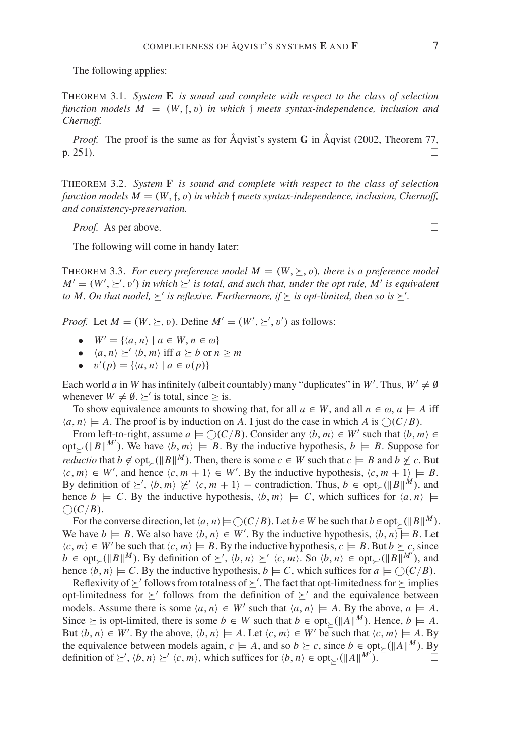The following applies:

THEOREM 3.1. *System* **E** *is sound and complete with respect to the class of selection function models*  $M = (W, \mathfrak{f}, v)$  *in which*  $\mathfrak{f}$  *meets syntax-independence, inclusion and Chernoff.*

*Proof.* The proof is the same as for Åqvist's system **G** in Åqvist (2002, Theorem 77,  $p. 251$ ).

THEOREM 3.2. *System* **F** *is sound and complete with respect to the class of selection function models*  $M = (W, \mathfrak{f}, v)$  *in which*  $\mathfrak{f}$  *meets syntax-independence, inclusion, Chernoff, and consistency-preservation.*

*Proof.* As per above.

The following will come in handy later:

THEOREM 3.3. *For every preference model*  $M = (W, \succeq, v)$ *, there is a preference model*  $M' = (W', \geq', v')$  *in which*  $\geq'$  *is total, and such that, under the opt rule, M' is equivalent* to M. On that model,  $\succeq'$  is reflexive. Furthermore, if  $\succeq$  is opt-limited, then so is  $\succeq'$ .

*Proof.* Let  $M = (W, \succeq, v)$ . Define  $M' = (W', \succeq', v')$  as follows:

- $W' = \{ \langle a, n \rangle \mid a \in W, n \in \omega \}$
- $\langle a, n \rangle \succeq' \langle b, m \rangle$  iff  $a \succeq b$  or  $n \geq m$
- $v'(p) = \{ \langle a, n \rangle \mid a \in v(p) \}$

Each world *a* in *W* has infinitely (albeit countably) many "duplicates" in *W*'. Thus,  $W' \neq \emptyset$ whenever  $W \neq \emptyset$ .  $\succeq'$  is total, since  $\geq$  is.

To show equivalence amounts to showing that, for all  $a \in W$ , and all  $n \in \omega$ ,  $a \models A$  iff  $\langle a, n \rangle \models A$ . The proof is by induction on *A*. I just do the case in which *A* is  $\bigcirc(C/B)$ .

From left-to-right, assume  $a \models \bigcirc(C/B)$ . Consider any  $\langle b, m \rangle \in W'$  such that  $\langle b, m \rangle \in C$  $\operatorname{opt}_{\succeq'}(\|B\|^{M'})$ . We have  $\langle b, m \rangle \models B$ . By the inductive hypothesis,  $b \models B$ . Suppose for *reductio* that  $b \notin \text{opt}_{\geq} (\|B\|^M)$ . Then, there is some  $c \in W$  such that  $c \models B$  and  $b \not\geq c$ . But  $\langle c, m \rangle \in W'$ , and hence  $\langle c, m+1 \rangle \in W'$ . By the inductive hypothesis,  $\langle c, m+1 \rangle \models B$ . By definition of  $\geq'$ ,  $\langle b, m \rangle \not\geq' \langle c, m + 1 \rangle$  – contradiction. Thus,  $b \in \text{opt}_{\geq}(\|B\|^M)$ , and hence  $b \models C$ . By the inductive hypothesis,  $\langle b, m \rangle \models C$ , which suffices for  $\langle a, n \rangle \models$  $\bigcirc$ (*C*/*B*).

For the converse direction, let  $\langle a, n \rangle \models \bigcirc(C/B)$ . Let  $b \in W$  be such that  $b \in opt_{\succeq}(\|B\|^M)$ . We have  $b \models B$ . We also have  $\langle b, n \rangle \in W'$ . By the inductive hypothesis,  $\langle b, n \rangle \models B$ . Let  $\langle c, m \rangle$  ∈ *W'* be such that  $\langle c, m \rangle$   $\models$  *B*. By the inductive hypothesis,  $c$   $\models$  *B*. But *b*  $\geq$  *c*, since  $b \in \text{opt}_{\geq}(\|B\|^M)$ . By definition of  $\geq', \langle b, n \rangle \geq' \langle c, m \rangle$ . So  $\langle b, n \rangle \in \text{opt}_{\geq'}(\|B\|^M')$ , and hence  $\langle b, n \rangle \models C$ . By the inductive hypothesis,  $b \models C$ , which suffices for  $a \models \bigcirc(C/B)$ .

Reflexivity of  $\geq'$  follows from totalness of  $\geq'$ . The fact that opt-limitedness for  $\geq$  implies opt-limitedness for  $\geq'$  follows from the definition of  $\geq'$  and the equivalence between models. Assume there is some  $\langle a, n \rangle \in W'$  such that  $\langle a, n \rangle \models A$ . By the above,  $a \models A$ . Since  $\succeq$  is opt-limited, there is some  $b \in W$  such that  $b \in opt_{\succeq}(\|A\|^M)$ . Hence,  $b \models A$ . But  $\langle b, n \rangle \in W'$ . By the above,  $\langle b, n \rangle \models A$ . Let  $\langle c, m \rangle \in W'$  be such that  $\langle c, m \rangle \models A$ . By the equivalence between models again,  $c \models A$ , and so  $b \succeq c$ , since  $b \in \text{opt}_{\leq}[||A||^M)$ . By definition of  $\geq'$ ,  $\langle b, n \rangle \geq' \langle c, m \rangle$ , which suffices for  $\langle b, n \rangle \in opt_{\geq'}(||A||^{M'})$ .

 $\Box$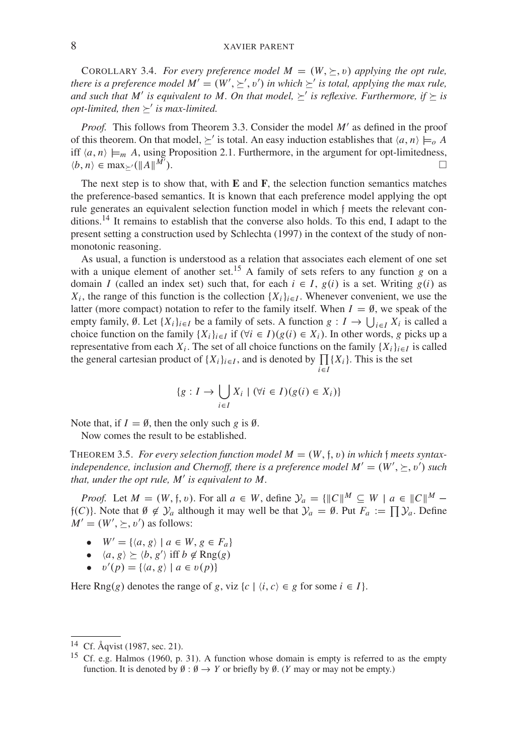### 8 XAVIER PARENT

COROLLARY 3.4. *For every preference model*  $M = (W, \succeq, v)$  *applying the opt rule, there is a preference model*  $M' = (W', \geq', v')$  *in which*  $\geq'$  *is total, applying the max rule, and such that M' is equivalent to M. On that model,*  $\geq'$  *is reflexive. Furthermore, if*  $\geq$  *is opt-limited, then*  $\succeq'$  *is max-limited.* 

*Proof.* This follows from Theorem 3.3. Consider the model M' as defined in the proof of this theorem. On that model,  $\geq'$  is total. An easy induction establishes that  $\langle a, n \rangle \models_0 A$ iff  $\langle a, n \rangle \models_m A$ , using Proposition 2.1. Furthermore, in the argument for opt-limitedness,  $\langle b, n \rangle \in \max_{a \in \mathcal{A}} (||A||^{M'})$ .  $\langle b, n \rangle \in \max_{\succeq'} (\|A\|^{M'})$ ).  $\Box$ 

The next step is to show that, with **E** and **F**, the selection function semantics matches the preference-based semantics. It is known that each preference model applying the opt rule generates an equivalent selection function model in which f meets the relevant conditions.<sup>14</sup> It remains to establish that the converse also holds. To this end, I adapt to the present setting a construction used by Schlechta (1997) in the context of the study of nonmonotonic reasoning.

As usual, a function is understood as a relation that associates each element of one set with a unique element of another set.<sup>15</sup> A family of sets refers to any function *g* on a domain *I* (called an index set) such that, for each  $i \in I$ ,  $g(i)$  is a set. Writing  $g(i)$  as *X<sub>i</sub>*, the range of this function is the collection  ${X_i}_{i \in I}$ . Whenever convenient, we use the latter (more compact) notation to refer to the family itself. When  $I = \emptyset$ , we speak of the empty family, Ø. Let  $\{X_i\}_{i \in I}$  be a family of sets. A function  $g : I \to \bigcup_{i \in I} X_i$  is called a choice function on the family  $\{X_i\}_{i \in I}$  if  $(\forall i \in I)(g(i) \in X_i)$ . In other words, *g* picks up a representative from each  $X_i$ . The set of all choice functions on the family  $\{X_i\}_{i \in I}$  is called the general cartesian product of  $\{X_i\}_{i \in I}$ , and is denoted by  $\prod_i \{X_i\}$ . This is the set *i*∈*I*

$$
\{g: I \to \bigcup_{i \in I} X_i \mid (\forall i \in I)(g(i) \in X_i)\}
$$

Note that, if  $I = \emptyset$ , then the only such *g* is  $\emptyset$ .

Now comes the result to be established.

THEOREM 3.5. *For every selection function model*  $M = (W, \mathfrak{f}, v)$  *in which*  $\mathfrak{f}$  *meets syntaxindependence, inclusion and Chernoff, there is a preference model*  $M' = (W', \succeq, v')$  *such that, under the opt rule, M is equivalent to M.*

*Proof.* Let  $M = (W, \mathfrak{f}, v)$ . For all  $a \in W$ , define  $\mathcal{Y}_a = {\|C\|}^M \subseteq W \mid a \in {\|C\|}^M$ f(*C*)}. Note that  $\emptyset \notin \mathcal{Y}_a$  although it may well be that  $\mathcal{Y}_a = \emptyset$ . Put  $F_a := \prod \mathcal{Y}_a$ . Define  $M' = (W', \succeq, v')$  as follows:

•  $W' = \{ \langle a, g \rangle \mid a \in W, g \in F_a \}$ 

• 
$$
\langle a, g \rangle \succeq \langle b, g' \rangle
$$
 iff  $b \notin \text{Rng}(g)$ 

•  $v'(p) = \{ \langle a, g \rangle \mid a \in v(p) \}$ 

Here  $\text{Rng}(g)$  denotes the range of *g*, viz  $\{c \mid \langle i, c \rangle \in g \text{ for some } i \in I\}.$ 

<sup>14</sup> Cf. Åqvist (1987, sec. 21).

<sup>&</sup>lt;sup>15</sup> Cf. e.g. Halmos (1960, p. 31). A function whose domain is empty is referred to as the empty function. It is denoted by  $\emptyset : \emptyset \to Y$  or briefly by  $\emptyset$ . (*Y* may or may not be empty.)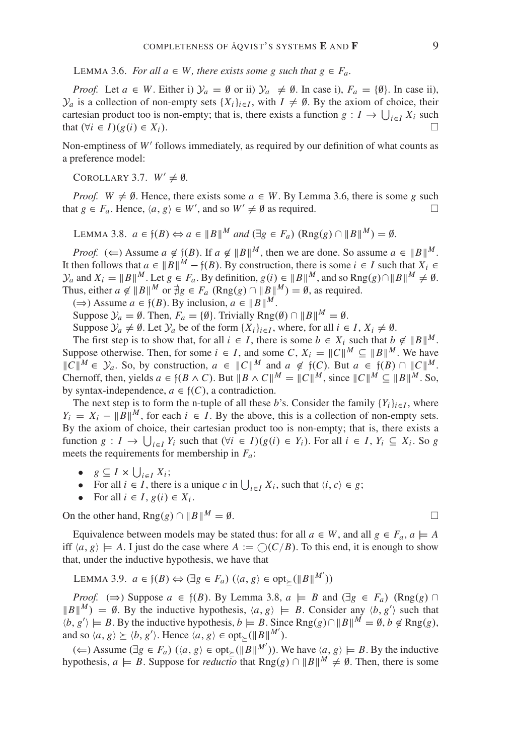LEMMA 3.6. *For all a*  $\in$  *W*, *there exists some g such that*  $g \in F_a$ .

*Proof.* Let  $a \in W$ . Either i)  $\mathcal{Y}_a = \emptyset$  or ii)  $\mathcal{Y}_a \neq \emptyset$ . In case i),  $F_a = \{\emptyset\}$ . In case ii),  $\mathcal{Y}_a$  is a collection of non-empty sets  $\{X_i\}_{i\in I}$ , with  $I \neq \emptyset$ . By the axiom of choice, their cartesian product too is non-empty; that is, there exists a function  $g: I \to \bigcup_{i \in I} X_i$  such that  $(\forall i \in I)(g(i) \in X_i).$ 

Non-emptiness of *W* follows immediately, as required by our definition of what counts as a preference model:

COROLLARY 3.7.  $W' \neq \emptyset$ .

*Proof.*  $W \neq \emptyset$ . Hence, there exists some  $a \in W$ . By Lemma 3.6, there is some g such that  $g \in F_a$ . Hence,  $\langle a, g \rangle \in W'$ , and so  $W' \neq \emptyset$  as required.

LEMMA 3.8.  $a \in \mathfrak{f}(B) \Leftrightarrow a \in ||B||^M$  and  $(\exists g \in F_a)$   $(\text{Rng}(g) \cap ||B||^M) = \emptyset$ .

*Proof.* ( $\Leftarrow$ ) Assume *a*  $\notin$   $\{ [B] \mid M \}$ , then we are done. So assume *a*  $\in$   $||B||^M$ . It then follows that  $a \in ||B||^M - f(B)$ . By construction, there is some  $i \in I$  such that  $X_i \in$  $\mathcal{Y}_a$  and  $X_i = ||B||^M$ . Let  $g \in F_a$ . By definition,  $g(i) \in ||B||^M$ , and so  $\text{Rng}(g) \cap ||B||^M \neq \emptyset$ . Thus, either  $a \notin ||B||^M$  or  $\forall g \in F_a$  (Rng( $g$ )  $\cap ||B||^M$ ) =  $\emptyset$ , as required.

(⇒) Assume *a* ∈  $f(B)$ . By inclusion, *a* ∈  $||B||^M$ .

Suppose  $\mathcal{Y}_a = \emptyset$ . Then,  $F_a = \{\emptyset\}$ . Trivially  $\text{Rng}(\emptyset) \cap ||B||^M = \emptyset$ .

Suppose  $\mathcal{Y}_a \neq \emptyset$ . Let  $\mathcal{Y}_a$  be of the form  $\{X_i\}_{i \in I}$ , where, for all  $i \in I$ ,  $X_i \neq \emptyset$ .

The first step is to show that, for all  $i \in I$ , there is some  $b \in X_i$  such that  $b \notin ||B||^M$ . Suppose otherwise. Then, for some  $i \in I$ , and some C,  $X_i = ||C||^M \subseteq ||B||^M$ . We have  $||C||^M \in \mathcal{Y}_a$ . So, by construction,  $a \in ||C||^M$  and  $a \notin f(C)$ . But  $a \in f(B) \cap ||C||^M$ . Chernoff, then, yields  $a \in \mathfrak{f}(B \wedge C)$ . But  $\|B \wedge C\|^M = \|C\|^M$ , since  $\|C\|^M \subseteq \|B\|^M$ . So, by syntax-independence,  $a \in \mathfrak{f}(C)$ , a contradiction.

The next step is to form the n-tuple of all these *b*'s. Consider the family  ${Y_i}_{i \in I}$ , where  $Y_i = X_i - ||B||^M$ , for each  $i \in I$ . By the above, this is a collection of non-empty sets. By the axiom of choice, their cartesian product too is non-empty; that is, there exists a function  $g: I \to \bigcup_{i \in I} Y_i$  such that  $(\forall i \in I)(g(i) \in Y_i)$ . For all  $i \in I, Y_i \subseteq X_i$ . So *g* meets the requirements for membership in *Fa*:

- $g \subseteq I \times \bigcup_{i \in I} X_i;$
- For all  $i \in I$ , there is a unique  $c$  in  $\bigcup_{i \in I} X_i$ , such that  $\langle i, c \rangle \in g$ ;
- For all  $i \in I$ ,  $g(i) \in X_i$ .

On the other hand,  $\text{Rng}(g) \cap ||B||^M = \emptyset$ .

Equivalence between models may be stated thus: for all  $a \in W$ , and all  $g \in F_a$ ,  $a \models A$ iff  $\langle a, g \rangle \models A$ . I just do the case where  $A := \bigcirc(C/B)$ . To this end, it is enough to show that, under the inductive hypothesis, we have that

LEMMA 3.9. 
$$
a \in \mathfrak{f}(B) \Leftrightarrow (\exists g \in F_a) \ (\langle a, g \rangle \in \text{opt}_{\succeq}(\|B\|^{M'}))
$$

*Proof.* (⇒) Suppose  $a \in f(B)$ . By Lemma 3.8,  $a \models B$  and  $(\exists g \in F_a)$  (Rng(*g*) ∩  $\|B\|^M$ ) = Ø. By the inductive hypothesis,  $\langle a, g \rangle \models B$ . Consider any  $\langle b, g' \rangle$  such that *k*, *g*<sup> $\land$ </sup>  $\models$  *B*. By the inductive hypothesis, *b*  $\models$  *B*. Since Rng(*g*)∩ || *B*||<sup>*M*</sup> = Ø, *b* ∉ Rng(*g*), and so  $\langle a, g \rangle \succeq \langle b, g' \rangle$ . Hence  $\langle a, g \rangle \in opt_{\succeq}(\|B\|^{M'}).$ 

(←) Assume  $(\exists g \in F_a)$   $((a, g) \in \text{opt}_{\geq}([B \parallel M]))$ . We have  $\langle a, g \rangle \models B$ . By the inductive hypothesis,  $a \models B$ . Suppose for *reductio* that Rng(*g*)  $\cap$   $||B||^M \neq \emptyset$ . Then, there is some

$$
\qquad \qquad \Box
$$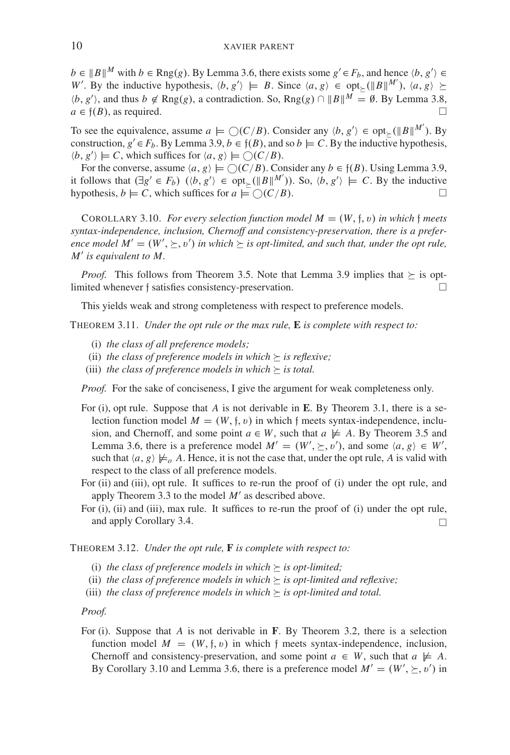*b* ∈  $||B||^M$  with *b* ∈ Rng(*g*). By Lemma 3.6, there exists some  $g' \in F_b$ , and hence  $\langle b, g' \rangle \in$ *W*'. By the inductive hypothesis,  $\langle b, g' \rangle \models B$ . Since  $\langle a, g \rangle \in \text{opt}_{\succeq}(\|B\|^{M'}), \langle a, g \rangle \succeq$  $\langle b, g' \rangle$ , and thus *b* ∉ Rng(*g*), a contradiction. So, Rng(*g*) ∩ ||*B*||<sup>*M*</sup> = Ø. By Lemma 3.8,  $a \in f(B)$ , as required.

To see the equivalence, assume  $a \models \bigcirc (C/B)$ . Consider any  $\langle b, g' \rangle \in \text{opt}_{\succeq}(\|B\|^{M'})$ . By construction,  $g' \in F_b$ . By Lemma 3.9,  $b \in f(B)$ , and so  $b \models C$ . By the inductive hypothesis,  $\langle b, g' \rangle \models C$ , which suffices for  $\langle a, g \rangle \models \bigcirc(C/B)$ .

For the converse, assume  $\langle a, g \rangle \models \bigcirc(C/B)$ . Consider any  $b \in \mathfrak{f}(B)$ . Using Lemma 3.9, it follows that  $(\exists g' \in F_b)$   $(\langle b, g' \rangle \in opt_{\succeq}(\|B\|^{M'}))$ . So,  $\langle b, g' \rangle \models C$ . By the inductive hypothesis,  $b \models C$ , which suffices for  $a \models \bigcirc(C/B)$ .

COROLLARY 3.10. *For every selection function model*  $M = (W, \mathfrak{f}, v)$  *in which*  $\mathfrak{f}$  *meets syntax-independence, inclusion, Chernoff and consistency-preservation, there is a preference model*  $M' = (W', \succeq, v')$  *in which*  $\succeq$  *is opt-limited, and such that, under the opt rule, M is equivalent to M.*

*Proof.* This follows from Theorem 3.5. Note that Lemma 3.9 implies that  $\succeq$  is opt-<br>nited whenever f satisfies consistency-preservation limited whenever  $\mathfrak f$  satisfies consistency-preservation.

This yields weak and strong completeness with respect to preference models.

THEOREM 3.11. *Under the opt rule or the max rule,* **E** *is complete with respect to:*

- (i) *the class of all preference models;*
- (ii) *the class of preference models in which*  $\succeq$  *is reflexive*;
- (iii) *the class of preference models in which*  $\succeq$  *is total.*

*Proof.* For the sake of conciseness, I give the argument for weak completeness only.

- For (i), opt rule. Suppose that *A* is not derivable in **E**. By Theorem 3.1, there is a selection function model  $M = (W, \mathfrak{f}, v)$  in which  $\mathfrak{f}$  meets syntax-independence, inclusion, and Chernoff, and some point  $a \in W$ , such that  $a \not\models A$ . By Theorem 3.5 and Lemma 3.6, there is a preference model  $M' = (W', \succeq, v')$ , and some  $\langle a, g \rangle \in W'$ , such that  $\langle a, g \rangle \not\models_{\alpha} A$ . Hence, it is not the case that, under the opt rule, A is valid with respect to the class of all preference models.
- For (ii) and (iii), opt rule. It suffices to re-run the proof of (i) under the opt rule, and apply Theorem 3.3 to the model  $M'$  as described above.
- For (i), (ii) and (iii), max rule. It suffices to re-run the proof of (i) under the opt rule, and apply Corollary 3.4.

THEOREM 3.12. *Under the opt rule,* **F** *is complete with respect to:*

- (i) *the class of preference models in which*  $\succeq$  *is opt-limited*;
- (ii) *the class of preference models in which*  $\succeq$  *is opt-limited and reflexive*;
- (iii) *the class of preference models in which*  $\succeq$  *is opt-limited and total.*

*Proof.*

For (i). Suppose that *A* is not derivable in **F**. By Theorem 3.2, there is a selection function model  $M = (W, \mathfrak{f}, v)$  in which  $\mathfrak{f}$  meets syntax-independence, inclusion, Chernoff and consistency-preservation, and some point  $a \in W$ , such that  $a \not\models A$ . By Corollary 3.10 and Lemma 3.6, there is a preference model  $M' = (W', \succeq, v')$  in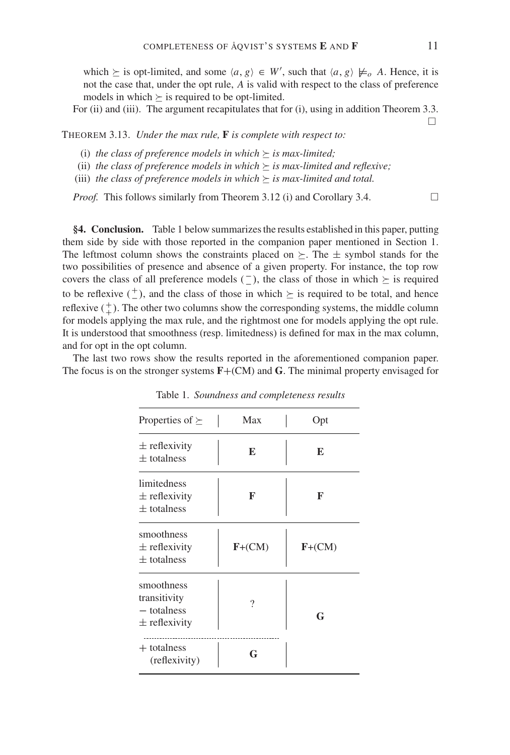which  $\succeq$  is opt-limited, and some  $\langle a, g \rangle \in W'$ , such that  $\langle a, g \rangle \not\models o \Lambda$ . Hence, it is not the case that, under the opt rule, *A* is valid with respect to the class of preference models in which  $\succ$  is required to be opt-limited.

For (ii) and (iii). The argument recapitulates that for (i), using in addition Theorem 3.3.

THEOREM 3.13. *Under the max rule,* **F** *is complete with respect to:*

- (i) the class of preference models in which  $\succ$  is max-limited;
- (ii) *the class of preference models in which*  $\geq$  *is max-limited and reflexive*;
- (iii) *the class of preference models in which*  $\succ$  *is max-limited and total.*

*Proof.* This follows similarly from Theorem 3.12 (i) and Corollary 3.4.

**§4. Conclusion.** Table 1 below summarizes the results established in this paper, putting them side by side with those reported in the companion paper mentioned in Section 1. The leftmost column shows the constraints placed on  $\succeq$ . The  $\pm$  symbol stands for the two possibilities of presence and absence of a given property. For instance, the top row covers the class of all preference models  $(\_)$ , the class of those in which  $\succeq$  is required to be reflexive  $(\pm)$ , and the class of those in which  $\succeq$  is required to be total, and hence reflexive  $(\frac{+}{+})$ . The other two columns show the corresponding systems, the middle column for models applying the max rule, and the rightmost one for models applying the opt rule. It is understood that smoothness (resp. limitedness) is defined for max in the max column, and for opt in the opt column.

The last two rows show the results reported in the aforementioned companion paper. The focus is on the stronger systems **F**+(CM) and **G**. The minimal property envisaged for

| Properties of $\succeq$                                          | Max      | Opt      |
|------------------------------------------------------------------|----------|----------|
| $\pm$ reflexivity<br>$\pm$ totalness                             | E        | Е        |
| limitedness<br>$\pm$ reflexivity<br>$\pm$ totalness              | F        | F        |
| smoothness<br>$\pm$ reflexivity<br>$\pm$ totalness               | $F+(CM)$ | $F+(CM)$ |
| smoothness<br>transitivity<br>$-$ totalness<br>$\pm$ reflexivity | ?        | G        |
| $+$ totalness<br>(reflexivity)                                   | G        |          |

Table 1. *Soundness and completeness results*

 $\Box$ 

 $\Box$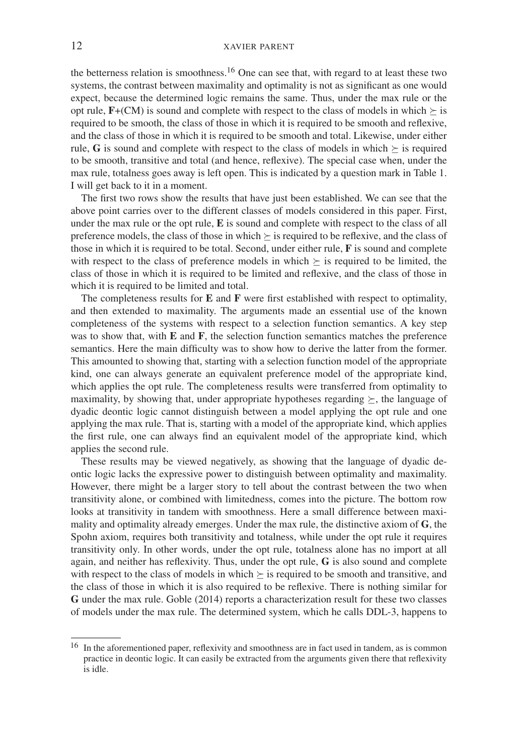the betterness relation is smoothness.<sup>16</sup> One can see that, with regard to at least these two systems, the contrast between maximality and optimality is not as significant as one would expect, because the determined logic remains the same. Thus, under the max rule or the opt rule,  $F+(CM)$  is sound and complete with respect to the class of models in which  $\succeq$  is required to be smooth, the class of those in which it is required to be smooth and reflexive, and the class of those in which it is required to be smooth and total. Likewise, under either rule, **G** is sound and complete with respect to the class of models in which  $\succeq$  is required to be smooth, transitive and total (and hence, reflexive). The special case when, under the max rule, totalness goes away is left open. This is indicated by a question mark in Table 1. I will get back to it in a moment.

The first two rows show the results that have just been established. We can see that the above point carries over to the different classes of models considered in this paper. First, under the max rule or the opt rule, **E** is sound and complete with respect to the class of all preference models, the class of those in which  $\succeq$  is required to be reflexive, and the class of those in which it is required to be total. Second, under either rule, **F** is sound and complete with respect to the class of preference models in which  $\succeq$  is required to be limited, the class of those in which it is required to be limited and reflexive, and the class of those in which it is required to be limited and total.

The completeness results for **E** and **F** were first established with respect to optimality, and then extended to maximality. The arguments made an essential use of the known completeness of the systems with respect to a selection function semantics. A key step was to show that, with **E** and **F**, the selection function semantics matches the preference semantics. Here the main difficulty was to show how to derive the latter from the former. This amounted to showing that, starting with a selection function model of the appropriate kind, one can always generate an equivalent preference model of the appropriate kind, which applies the opt rule. The completeness results were transferred from optimality to maximality, by showing that, under appropriate hypotheses regarding  $\succeq$ , the language of dyadic deontic logic cannot distinguish between a model applying the opt rule and one applying the max rule. That is, starting with a model of the appropriate kind, which applies the first rule, one can always find an equivalent model of the appropriate kind, which applies the second rule.

These results may be viewed negatively, as showing that the language of dyadic deontic logic lacks the expressive power to distinguish between optimality and maximality. However, there might be a larger story to tell about the contrast between the two when transitivity alone, or combined with limitedness, comes into the picture. The bottom row looks at transitivity in tandem with smoothness. Here a small difference between maximality and optimality already emerges. Under the max rule, the distinctive axiom of **G**, the Spohn axiom, requires both transitivity and totalness, while under the opt rule it requires transitivity only. In other words, under the opt rule, totalness alone has no import at all again, and neither has reflexivity. Thus, under the opt rule, **G** is also sound and complete with respect to the class of models in which  $\succeq$  is required to be smooth and transitive, and the class of those in which it is also required to be reflexive. There is nothing similar for **G** under the max rule. Goble (2014) reports a characterization result for these two classes of models under the max rule. The determined system, which he calls DDL-3, happens to

<sup>&</sup>lt;sup>16</sup> In the aforementioned paper, reflexivity and smoothness are in fact used in tandem, as is common practice in deontic logic. It can easily be extracted from the arguments given there that reflexivity is idle.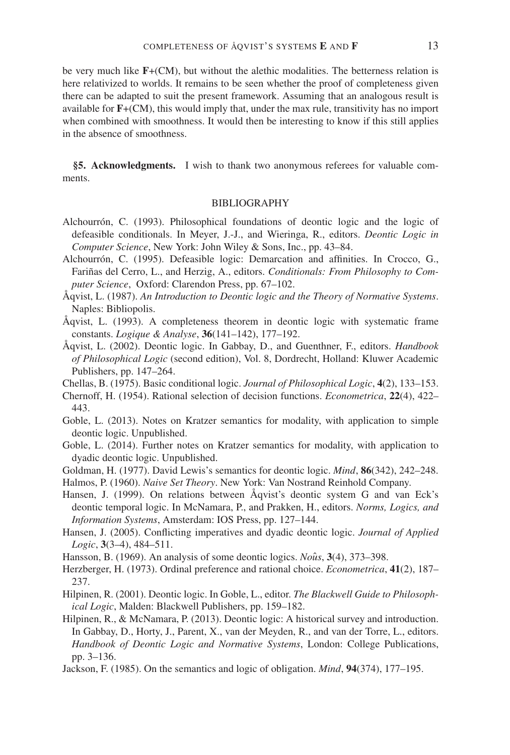be very much like **F**+(CM), but without the alethic modalities. The betterness relation is here relativized to worlds. It remains to be seen whether the proof of completeness given there can be adapted to suit the present framework. Assuming that an analogous result is available for **F**+(CM), this would imply that, under the max rule, transitivity has no import when combined with smoothness. It would then be interesting to know if this still applies in the absence of smoothness.

**§5. Acknowledgments.** I wish to thank two anonymous referees for valuable comments.

#### BIBLIOGRAPHY

- Alchourrón, C. (1993). Philosophical foundations of deontic logic and the logic of defeasible conditionals. In Meyer, J.-J., and Wieringa, R., editors. *Deontic Logic in Computer Science*, New York: John Wiley & Sons, Inc., pp. 43–84.
- Alchourrón, C. (1995). Defeasible logic: Demarcation and affinities. In Crocco, G., Fariñas del Cerro, L., and Herzig, A., editors. *Conditionals: From Philosophy to Computer Science*, Oxford: Clarendon Press, pp. 67–102.
- Åqvist, L. (1987). *An Introduction to Deontic logic and the Theory of Normative Systems*. Naples: Bibliopolis.
- Åqvist, L. (1993). A completeness theorem in deontic logic with systematic frame constants. *Logique & Analyse*, **36**(141–142), 177–192.
- Åqvist, L. (2002). Deontic logic. In Gabbay, D., and Guenthner, F., editors. *Handbook of Philosophical Logic* (second edition), Vol. 8, Dordrecht, Holland: Kluwer Academic Publishers, pp. 147–264.
- Chellas, B. (1975). Basic conditional logic. *Journal of Philosophical Logic*, **4**(2), 133–153.
- Chernoff, H. (1954). Rational selection of decision functions. *Econometrica*, **22**(4), 422– 443.
- Goble, L. (2013). Notes on Kratzer semantics for modality, with application to simple deontic logic. Unpublished.
- Goble, L. (2014). Further notes on Kratzer semantics for modality, with application to dyadic deontic logic. Unpublished.
- Goldman, H. (1977). David Lewis's semantics for deontic logic. *Mind*, **86**(342), 242–248.
- Halmos, P. (1960). *Naive Set Theory*. New York: Van Nostrand Reinhold Company.
- Hansen, J. (1999). On relations between Åqvist's deontic system G and van Eck's deontic temporal logic. In McNamara, P., and Prakken, H., editors. *Norms, Logics, and Information Systems*, Amsterdam: IOS Press, pp. 127–144.
- Hansen, J. (2005). Conflicting imperatives and dyadic deontic logic. *Journal of Applied Logic*, **3**(3–4), 484–511.
- Hansson, B. (1969). An analysis of some deontic logics. *Nous*, 3(4), 373–398.
- Herzberger, H. (1973). Ordinal preference and rational choice. *Econometrica*, **41**(2), 187– 237.
- Hilpinen, R. (2001). Deontic logic. In Goble, L., editor. *The Blackwell Guide to Philosophical Logic*, Malden: Blackwell Publishers, pp. 159–182.
- Hilpinen, R., & McNamara, P. (2013). Deontic logic: A historical survey and introduction. In Gabbay, D., Horty, J., Parent, X., van der Meyden, R., and van der Torre, L., editors. *Handbook of Deontic Logic and Normative Systems*, London: College Publications, pp. 3–136.
- Jackson, F. (1985). On the semantics and logic of obligation. *Mind*, **94**(374), 177–195.